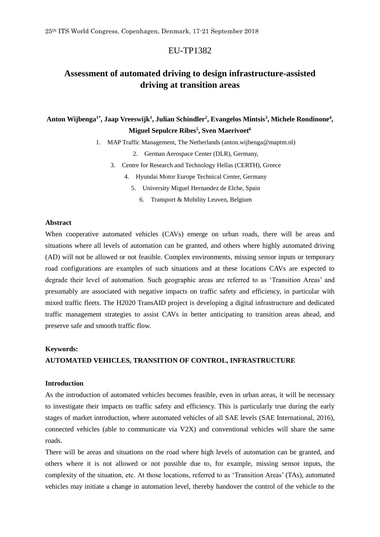## EU-TP1382

# **Assessment of automated driving to design infrastructure-assisted driving at transition areas**

## **Anton Wijbenga1\* , Jaap Vreeswijk<sup>1</sup> , Julian Schindler<sup>2</sup> , Evangelos Mintsis<sup>3</sup> , Michele Rondinone<sup>4</sup> , Miguel Sepulcre Ribes<sup>5</sup> , Sven Maerivoet<sup>6</sup>**

1. MAP Traffic Management, The Netherlands (anton.wijbenga@maptm.nl)

2. German Aerospace Center (DLR), Germany,

3. Centre for Research and Technology Hellas (CERTH), Greece

4. Hyundai Motor Europe Technical Center, Germany

5. University Miguel Hernandez de Elche, Spain

6. Transport & Mobility Leuven, Belgium

## **Abstract**

When cooperative automated vehicles (CAVs) emerge on urban roads, there will be areas and situations where all levels of automation can be granted, and others where highly automated driving (AD) will not be allowed or not feasible. Complex environments, missing sensor inputs or temporary road configurations are examples of such situations and at these locations CAVs are expected to degrade their level of automation. Such geographic areas are referred to as 'Transition Areas' and presumably are associated with negative impacts on traffic safety and efficiency, in particular with mixed traffic fleets. The H2020 TransAID project is developing a digital infrastructure and dedicated traffic management strategies to assist CAVs in better anticipating to transition areas ahead, and preserve safe and smooth traffic flow.

#### **Keywords:**

## **AUTOMATED VEHICLES, TRANSITION OF CONTROL, INFRASTRUCTURE**

## **Introduction**

As the introduction of automated vehicles becomes feasible, even in urban areas, it will be necessary to investigate their impacts on traffic safety and efficiency. This is particularly true during the early stages of market introduction, where automated vehicles of all SAE levels (SAE International, 2016), connected vehicles (able to communicate via V2X) and conventional vehicles will share the same roads.

There will be areas and situations on the road where high levels of automation can be granted, and others where it is not allowed or not possible due to, for example, missing sensor inputs, the complexity of the situation, etc. At those locations, referred to as 'Transition Areas' (TAs), automated vehicles may initiate a change in automation level, thereby handover the control of the vehicle to the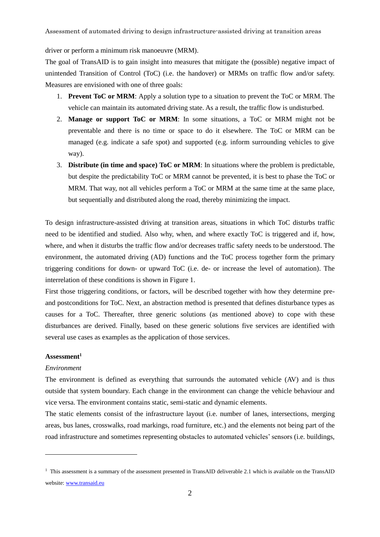Assessment of automated driving to design infrastructure-assisted driving at transition areas

driver or perform a minimum risk manoeuvre (MRM).

The goal of TransAID is to gain insight into measures that mitigate the (possible) negative impact of unintended Transition of Control (ToC) (i.e. the handover) or MRMs on traffic flow and/or safety. Measures are envisioned with one of three goals:

- 1. **Prevent ToC or MRM**: Apply a solution type to a situation to prevent the ToC or MRM. The vehicle can maintain its automated driving state. As a result, the traffic flow is undisturbed.
- 2. **Manage or support ToC or MRM**: In some situations, a ToC or MRM might not be preventable and there is no time or space to do it elsewhere. The ToC or MRM can be managed (e.g. indicate a safe spot) and supported (e.g. inform surrounding vehicles to give way).
- 3. **Distribute (in time and space) ToC or MRM**: In situations where the problem is predictable, but despite the predictability ToC or MRM cannot be prevented, it is best to phase the ToC or MRM. That way, not all vehicles perform a ToC or MRM at the same time at the same place, but sequentially and distributed along the road, thereby minimizing the impact.

To design infrastructure-assisted driving at transition areas, situations in which ToC disturbs traffic need to be identified and studied. Also why, when, and where exactly ToC is triggered and if, how, where, and when it disturbs the traffic flow and/or decreases traffic safety needs to be understood. The environment, the automated driving (AD) functions and the ToC process together form the primary triggering conditions for down- or upward ToC (i.e. de- or increase the level of automation). The interrelation of these conditions is shown in Figure 1.

First those triggering conditions, or factors, will be described together with how they determine preand postconditions for ToC. Next, an abstraction method is presented that defines disturbance types as causes for a ToC. Thereafter, three generic solutions (as mentioned above) to cope with these disturbances are derived. Finally, based on these generic solutions five services are identified with several use cases as examples as the application of those services.

#### **Assessment<sup>1</sup>**

#### *Environment*

 $\overline{a}$ 

The environment is defined as everything that surrounds the automated vehicle (AV) and is thus outside that system boundary. Each change in the environment can change the vehicle behaviour and vice versa. The environment contains static, semi-static and dynamic elements.

The static elements consist of the infrastructure layout (i.e. number of lanes, intersections, merging areas, bus lanes, crosswalks, road markings, road furniture, etc.) and the elements not being part of the road infrastructure and sometimes representing obstacles to automated vehicles' sensors (i.e. buildings,

 $1$  This assessment is a summary of the assessment presented in TransAID deliverable 2.1 which is available on the TransAID website: [www.transaid.eu](http://www.transaid.eu/)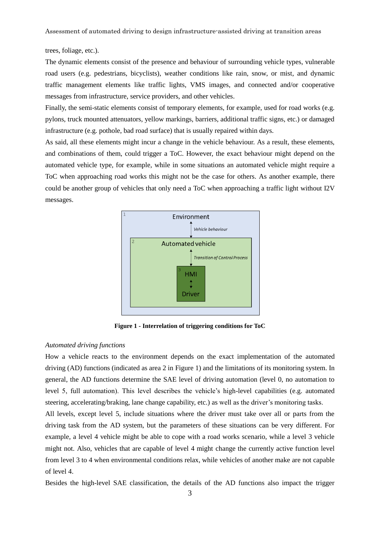trees, foliage, etc.).

The dynamic elements consist of the presence and behaviour of surrounding vehicle types, vulnerable road users (e.g. pedestrians, bicyclists), weather conditions like rain, snow, or mist, and dynamic traffic management elements like traffic lights, VMS images, and connected and/or cooperative messages from infrastructure, service providers, and other vehicles.

Finally, the semi-static elements consist of temporary elements, for example, used for road works (e.g. pylons, truck mounted attenuators, yellow markings, barriers, additional traffic signs, etc.) or damaged infrastructure (e.g. pothole, bad road surface) that is usually repaired within days.

As said, all these elements might incur a change in the vehicle behaviour. As a result, these elements, and combinations of them, could trigger a ToC. However, the exact behaviour might depend on the automated vehicle type, for example, while in some situations an automated vehicle might require a ToC when approaching road works this might not be the case for others. As another example, there could be another group of vehicles that only need a ToC when approaching a traffic light without I2V messages.



**Figure 1 - Interrelation of triggering conditions for ToC**

#### *Automated driving functions*

How a vehicle reacts to the environment depends on the exact implementation of the automated driving (AD) functions (indicated as area 2 in Figure 1) and the limitations of its monitoring system. In general, the AD functions determine the SAE level of driving automation (level 0, no automation to level 5, full automation). This level describes the vehicle's high-level capabilities (e.g. automated steering, accelerating/braking, lane change capability, etc.) as well as the driver's monitoring tasks.

All levels, except level 5, include situations where the driver must take over all or parts from the driving task from the AD system, but the parameters of these situations can be very different. For example, a level 4 vehicle might be able to cope with a road works scenario, while a level 3 vehicle might not. Also, vehicles that are capable of level 4 might change the currently active function level from level 3 to 4 when environmental conditions relax, while vehicles of another make are not capable of level 4.

Besides the high-level SAE classification, the details of the AD functions also impact the trigger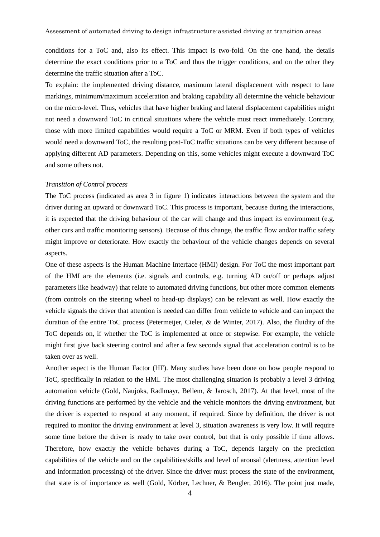conditions for a ToC and, also its effect. This impact is two-fold. On the one hand, the details determine the exact conditions prior to a ToC and thus the trigger conditions, and on the other they determine the traffic situation after a ToC.

To explain: the implemented driving distance, maximum lateral displacement with respect to lane markings, minimum/maximum acceleration and braking capability all determine the vehicle behaviour on the micro-level. Thus, vehicles that have higher braking and lateral displacement capabilities might not need a downward ToC in critical situations where the vehicle must react immediately. Contrary, those with more limited capabilities would require a ToC or MRM. Even if both types of vehicles would need a downward ToC, the resulting post-ToC traffic situations can be very different because of applying different AD parameters. Depending on this, some vehicles might execute a downward ToC and some others not.

#### *Transition of Control process*

The ToC process (indicated as area 3 in figure 1) indicates interactions between the system and the driver during an upward or downward ToC. This process is important, because during the interactions, it is expected that the driving behaviour of the car will change and thus impact its environment (e.g. other cars and traffic monitoring sensors). Because of this change, the traffic flow and/or traffic safety might improve or deteriorate. How exactly the behaviour of the vehicle changes depends on several aspects.

One of these aspects is the Human Machine Interface (HMI) design. For ToC the most important part of the HMI are the elements (i.e. signals and controls, e.g. turning AD on/off or perhaps adjust parameters like headway) that relate to automated driving functions, but other more common elements (from controls on the steering wheel to head-up displays) can be relevant as well. How exactly the vehicle signals the driver that attention is needed can differ from vehicle to vehicle and can impact the duration of the entire ToC process (Petermeijer, Cieler, & de Winter, 2017). Also, the fluidity of the ToC depends on, if whether the ToC is implemented at once or stepwise. For example, the vehicle might first give back steering control and after a few seconds signal that acceleration control is to be taken over as well.

Another aspect is the Human Factor (HF). Many studies have been done on how people respond to ToC, specifically in relation to the HMI. The most challenging situation is probably a level 3 driving automation vehicle (Gold, Naujoks, Radlmayr, Bellem, & Jarosch, 2017). At that level, most of the driving functions are performed by the vehicle and the vehicle monitors the driving environment, but the driver is expected to respond at any moment, if required. Since by definition, the driver is not required to monitor the driving environment at level 3, situation awareness is very low. It will require some time before the driver is ready to take over control, but that is only possible if time allows. Therefore, how exactly the vehicle behaves during a ToC, depends largely on the prediction capabilities of the vehicle and on the capabilities/skills and level of arousal (alertness, attention level and information processing) of the driver. Since the driver must process the state of the environment, that state is of importance as well (Gold, Körber, Lechner, & Bengler, 2016). The point just made,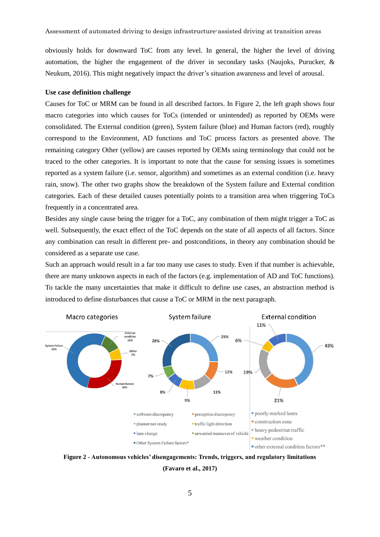obviously holds for downward ToC from any level. In general, the higher the level of driving automation, the higher the engagement of the driver in secondary tasks (Naujoks, Purucker, & Neukum, 2016). This might negatively impact the driver's situation awareness and level of arousal.

#### **Use case definition challenge**

Causes for ToC or MRM can be found in all described factors. In Figure 2, the left graph shows four macro categories into which causes for ToCs (intended or unintended) as reported by OEMs were consolidated. The External condition (green), System failure (blue) and Human factors (red), roughly correspond to the Environment, AD functions and ToC process factors as presented above. The remaining category Other (yellow) are causes reported by OEMs using terminology that could not be traced to the other categories. It is important to note that the cause for sensing issues is sometimes reported as a system failure (i.e. sensor, algorithm) and sometimes as an external condition (i.e. heavy rain, snow). The other two graphs show the breakdown of the System failure and External condition categories. Each of these detailed causes potentially points to a transition area when triggering ToCs frequently in a concentrated area.

Besides any single cause being the trigger for a ToC, any combination of them might trigger a ToC as well. Subsequently, the exact effect of the ToC depends on the state of all aspects of all factors. Since any combination can result in different pre- and postconditions, in theory any combination should be considered as a separate use case.

Such an approach would result in a far too many use cases to study. Even if that number is achievable, there are many unknown aspects in each of the factors (e.g. implementation of AD and ToC functions). To tackle the many uncertainties that make it difficult to define use cases, an abstraction method is introduced to define disturbances that cause a ToC or MRM in the next paragraph.



**Figure 2 - Autonomous vehicles' disengagements: Trends, triggers, and regulatory limitations (Favaro et al., 2017)**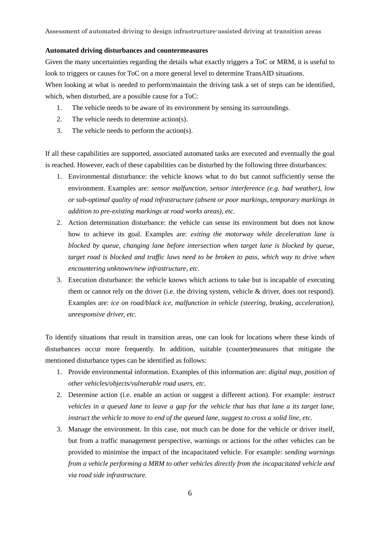#### **Automated driving disturbances and countermeasures**

Given the many uncertainties regarding the details what exactly triggers a ToC or MRM, it is useful to look to triggers or causes for ToC on a more general level to determine TransAID situations. When looking at what is needed to perform/maintain the driving task a set of steps can be identified, which, when disturbed, are a possible cause for a ToC:

- 1. The vehicle needs to be aware of its environment by sensing its surroundings.
- 2. The vehicle needs to determine action(s).
- 3. The vehicle needs to perform the action(s).

If all these capabilities are supported, associated automated tasks are executed and eventually the goal is reached. However, each of these capabilities can be disturbed by the following three disturbances:

- 1. Environmental disturbance: the vehicle knows what to do but cannot sufficiently sense the environment. Examples are: *sensor malfunction, sensor interference (e.g. bad weather), low or sub-optimal quality of road infrastructure (absent or poor markings, temporary markings in addition to pre-existing markings at road works areas), etc.*
- 2. Action determination disturbance: the vehicle can sense its environment but does not know how to achieve its goal. Examples are: *exiting the motorway while deceleration lane is blocked by queue, changing lane before intersection when target lane is blocked by queue, target road is blocked and traffic laws need to be broken to pass, which way to drive when encountering unknown/new infrastructure, etc.*
- 3. Execution disturbance: the vehicle knows which actions to take but is incapable of executing them or cannot rely on the driver (i.e. the driving system, vehicle & driver, does not respond). Examples are: *ice on road/black ice, malfunction in vehicle (steering, braking, acceleration), unresponsive driver, etc.*

To identify situations that result in transition areas, one can look for locations where these kinds of disturbances occur more frequently. In addition, suitable (counter)measures that mitigate the mentioned disturbance types can be identified as follows:

- 1. Provide environmental information. Examples of this information are: *digital map, position of other vehicles/objects/vulnerable road users, etc.*
- 2. Determine action (i.e. enable an action or suggest a different action). For example: *instruct vehicles in a queued lane to leave a gap for the vehicle that has that lane a its target lane, instruct the vehicle to move to end of the queued lane, suggest to cross a solid line, etc.*
- 3. Manage the environment. In this case, not much can be done for the vehicle or driver itself, but from a traffic management perspective, warnings or actions for the other vehicles can be provided to minimise the impact of the incapacitated vehicle. For example: *sending warnings from a vehicle performing a MRM to other vehicles directly from the incapacitated vehicle and via road side infrastructure.*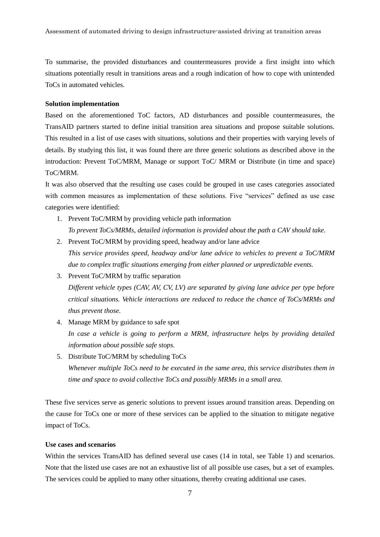To summarise, the provided disturbances and countermeasures provide a first insight into which situations potentially result in transitions areas and a rough indication of how to cope with unintended ToCs in automated vehicles.

## **Solution implementation**

Based on the aforementioned ToC factors, AD disturbances and possible countermeasures, the TransAID partners started to define initial transition area situations and propose suitable solutions. This resulted in a list of use cases with situations, solutions and their properties with varying levels of details. By studying this list, it was found there are three generic solutions as described above in the introduction: Prevent ToC/MRM, Manage or support ToC/ MRM or Distribute (in time and space) ToC/MRM.

It was also observed that the resulting use cases could be grouped in use cases categories associated with common measures as implementation of these solutions. Five "services" defined as use case categories were identified:

- 1. Prevent ToC/MRM by providing vehicle path information *To prevent ToCs/MRMs, detailed information is provided about the path a CAV should take.*
- 2. Prevent ToC/MRM by providing speed, headway and/or lane advice *This service provides speed, headway and/or lane advice to vehicles to prevent a ToC/MRM due to complex traffic situations emerging from either planned or unpredictable events.*
- 3. Prevent ToC/MRM by traffic separation *Different vehicle types (CAV, AV, CV, LV) are separated by giving lane advice per type before critical situations. Vehicle interactions are reduced to reduce the chance of ToCs/MRMs and thus prevent those.*
- 4. Manage MRM by guidance to safe spot *In case a vehicle is going to perform a MRM, infrastructure helps by providing detailed information about possible safe stops.*
- 5. Distribute ToC/MRM by scheduling ToCs *Whenever multiple ToCs need to be executed in the same area, this service distributes them in time and space to avoid collective ToCs and possibly MRMs in a small area.*

These five services serve as generic solutions to prevent issues around transition areas. Depending on the cause for ToCs one or more of these services can be applied to the situation to mitigate negative impact of ToCs.

## **Use cases and scenarios**

Within the services TransAID has defined several use cases (14 in total, see Table 1) and scenarios. Note that the listed use cases are not an exhaustive list of all possible use cases, but a set of examples. The services could be applied to many other situations, thereby creating additional use cases.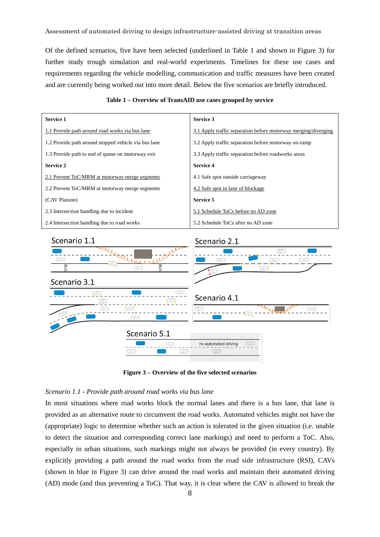Assessment of automated driving to design infrastructure-assisted driving at transition areas

Of the defined scenarios, five have been selected (underlined in Table 1 and shown in Figure 3) for further study trough simulation and real-world experiments. Timelines for these use cases and requirements regarding the vehicle modelling, communication and traffic measures have been created and are currently being worked out into more detail. Below the five scenarios are briefly introduced.

| <b>Service 1</b>                                     | <b>Service 3</b>                                               |
|------------------------------------------------------|----------------------------------------------------------------|
| 1.1 Provide path around road works via bus lane      | 3.1 Apply traffic separation before motorway merging/diverging |
| 1.2 Provide path around stopped vehicle via bus lane | 3.2 Apply traffic separation before motorway on-ramp           |
| 1.3 Provide path to end of queue on motorway exit    | 3.3 Apply traffic separation before roadworks areas            |
| <b>Service 2</b>                                     | <b>Service 4</b>                                               |
| 2.1 Prevent ToC/MRM at motorway merge segments       | 4.1 Safe spot outside carriageway                              |
| 2.2 Prevent ToC/MRM at motorway merge segments       | 4.2 Safe spot in lane of blockage                              |
| (CAV Platoon)                                        | Service 5                                                      |
| 2.3 Intersection handling due to incident            | 5.1 Schedule ToCs before no AD zone                            |
| 2.4 Intersection handling due to road works          | 5.2 Schedule ToCs after no AD zone                             |





**Figure 3 – Overview of the five selected scenarios**

#### *Scenario 1.1 - Provide path around road works via bus lane*

In most situations where road works block the normal lanes and there is a bus lane, that lane is provided as an alternative route to circumvent the road works. Automated vehicles might not have the (appropriate) logic to determine whether such an action is tolerated in the given situation (i.e. unable to detect the situation and corresponding correct lane markings) and need to perform a ToC. Also, especially in urban situations, such markings might not always be provided (in every country). By explicitly providing a path around the road works from the road side infrastructure (RSI), CAVs (shown in blue in Figure 3) can drive around the road works and maintain their automated driving (AD) mode (and thus preventing a ToC). That way, it is clear where the CAV is allowed to break the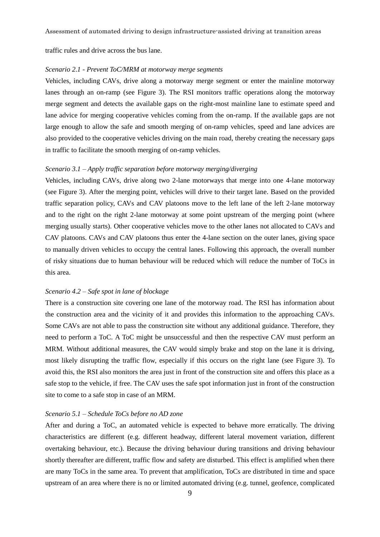traffic rules and drive across the bus lane.

#### *Scenario 2.1 - Prevent ToC/MRM at motorway merge segments*

Vehicles, including CAVs, drive along a motorway merge segment or enter the mainline motorway lanes through an on-ramp (see Figure 3). The RSI monitors traffic operations along the motorway merge segment and detects the available gaps on the right-most mainline lane to estimate speed and lane advice for merging cooperative vehicles coming from the on-ramp. If the available gaps are not large enough to allow the safe and smooth merging of on-ramp vehicles, speed and lane advices are also provided to the cooperative vehicles driving on the main road, thereby creating the necessary gaps in traffic to facilitate the smooth merging of on-ramp vehicles.

## *Scenario 3.1 – Apply traffic separation before motorway merging/diverging*

Vehicles, including CAVs, drive along two 2-lane motorways that merge into one 4-lane motorway (see Figure 3). After the merging point, vehicles will drive to their target lane. Based on the provided traffic separation policy, CAVs and CAV platoons move to the left lane of the left 2-lane motorway and to the right on the right 2-lane motorway at some point upstream of the merging point (where merging usually starts). Other cooperative vehicles move to the other lanes not allocated to CAVs and CAV platoons. CAVs and CAV platoons thus enter the 4-lane section on the outer lanes, giving space to manually driven vehicles to occupy the central lanes. Following this approach, the overall number of risky situations due to human behaviour will be reduced which will reduce the number of ToCs in this area.

#### *Scenario 4.2 – Safe spot in lane of blockage*

There is a construction site covering one lane of the motorway road. The RSI has information about the construction area and the vicinity of it and provides this information to the approaching CAVs. Some CAVs are not able to pass the construction site without any additional guidance. Therefore, they need to perform a ToC. A ToC might be unsuccessful and then the respective CAV must perform an MRM. Without additional measures, the CAV would simply brake and stop on the lane it is driving, most likely disrupting the traffic flow, especially if this occurs on the right lane (see Figure 3). To avoid this, the RSI also monitors the area just in front of the construction site and offers this place as a safe stop to the vehicle, if free. The CAV uses the safe spot information just in front of the construction site to come to a safe stop in case of an MRM.

#### *Scenario 5.1 – Schedule ToCs before no AD zone*

After and during a ToC, an automated vehicle is expected to behave more erratically. The driving characteristics are different (e.g. different headway, different lateral movement variation, different overtaking behaviour, etc.). Because the driving behaviour during transitions and driving behaviour shortly thereafter are different, traffic flow and safety are disturbed. This effect is amplified when there are many ToCs in the same area. To prevent that amplification, ToCs are distributed in time and space upstream of an area where there is no or limited automated driving (e.g. tunnel, geofence, complicated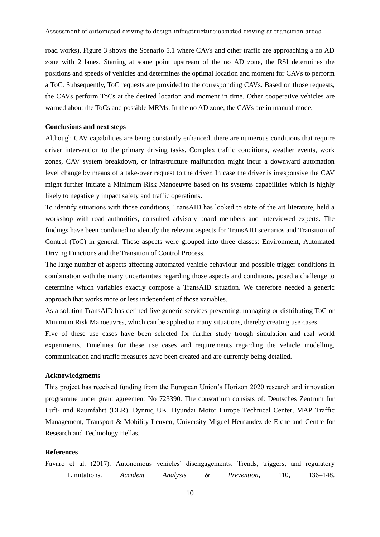road works). Figure 3 shows the Scenario 5.1 where CAVs and other traffic are approaching a no AD zone with 2 lanes. Starting at some point upstream of the no AD zone, the RSI determines the positions and speeds of vehicles and determines the optimal location and moment for CAVs to perform a ToC. Subsequently, ToC requests are provided to the corresponding CAVs. Based on those requests, the CAVs perform ToCs at the desired location and moment in time. Other cooperative vehicles are warned about the ToCs and possible MRMs. In the no AD zone, the CAVs are in manual mode.

#### **Conclusions and next steps**

Although CAV capabilities are being constantly enhanced, there are numerous conditions that require driver intervention to the primary driving tasks. Complex traffic conditions, weather events, work zones, CAV system breakdown, or infrastructure malfunction might incur a downward automation level change by means of a take-over request to the driver. In case the driver is irresponsive the CAV might further initiate a Minimum Risk Manoeuvre based on its systems capabilities which is highly likely to negatively impact safety and traffic operations.

To identify situations with those conditions, TransAID has looked to state of the art literature, held a workshop with road authorities, consulted advisory board members and interviewed experts. The findings have been combined to identify the relevant aspects for TransAID scenarios and Transition of Control (ToC) in general. These aspects were grouped into three classes: Environment, Automated Driving Functions and the Transition of Control Process.

The large number of aspects affecting automated vehicle behaviour and possible trigger conditions in combination with the many uncertainties regarding those aspects and conditions, posed a challenge to determine which variables exactly compose a TransAID situation. We therefore needed a generic approach that works more or less independent of those variables.

As a solution TransAID has defined five generic services preventing, managing or distributing ToC or Minimum Risk Manoeuvres, which can be applied to many situations, thereby creating use cases.

Five of these use cases have been selected for further study trough simulation and real world experiments. Timelines for these use cases and requirements regarding the vehicle modelling, communication and traffic measures have been created and are currently being detailed.

#### **Acknowledgments**

This project has received funding from the European Union's Horizon 2020 research and innovation programme under grant agreement No 723390. The consortium consists of: Deutsches Zentrum für Luft- und Raumfahrt (DLR), Dynniq UK, Hyundai Motor Europe Technical Center, MAP Traffic Management, Transport & Mobility Leuven, University Miguel Hernandez de Elche and Centre for Research and Technology Hellas.

## **References**

Favaro et al. (2017). Autonomous vehicles' disengagements: Trends, triggers, and regulatory Limitations. *Accident Analysis & Prevention*, 110, 136–148.